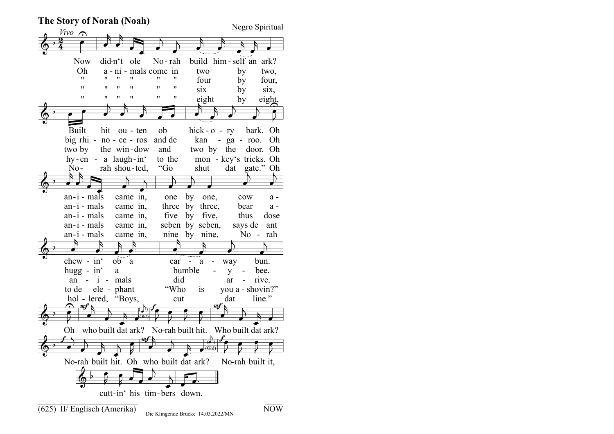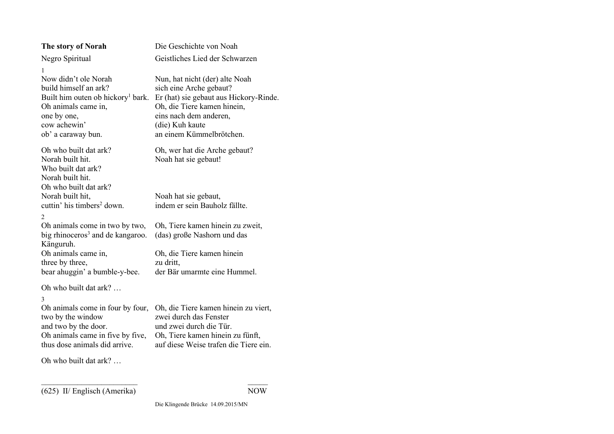| The story of Norah                                                                                                                                                               | Die Geschichte von Noah                                                                                                                                                                                     |
|----------------------------------------------------------------------------------------------------------------------------------------------------------------------------------|-------------------------------------------------------------------------------------------------------------------------------------------------------------------------------------------------------------|
| Negro Spiritual                                                                                                                                                                  | Geistliches Lied der Schwarzen                                                                                                                                                                              |
| 1<br>Now didn't ole Norah<br>build himself an ark?<br>Built him outen ob hickory <sup>1</sup> bark.<br>Oh animals came in,<br>one by one,<br>cow achewin'<br>ob' a caraway bun.  | Nun, hat nicht (der) alte Noah<br>sich eine Arche gebaut?<br>Er (hat) sie gebaut aus Hickory-Rinde.<br>Oh, die Tiere kamen hinein,<br>eins nach dem anderen,<br>(die) Kuh kaute<br>an einem Kümmelbrötchen. |
| Oh who built dat ark?<br>Norah built hit.<br>Who built dat ark?<br>Norah built hit.<br>Oh who built dat ark?                                                                     | Oh, wer hat die Arche gebaut?<br>Noah hat sie gebaut!                                                                                                                                                       |
| Norah built hit,<br>cuttin' his timbers <sup>2</sup> down.                                                                                                                       | Noah hat sie gebaut,<br>indem er sein Bauholz fällte.                                                                                                                                                       |
| 2<br>Oh animals come in two by two,<br>big rhinoceros <sup>3</sup> and de kangaroo.<br>Känguruh.                                                                                 | Oh, Tiere kamen hinein zu zweit,<br>(das) große Nashorn und das                                                                                                                                             |
| Oh animals came in,<br>three by three,<br>bear ahuggin' a bumble-y-bee.                                                                                                          | Oh, die Tiere kamen hinein<br>zu dritt,<br>der Bär umarmte eine Hummel.                                                                                                                                     |
| Oh who built dat ark?                                                                                                                                                            |                                                                                                                                                                                                             |
| 3<br>Oh animals come in four by four,<br>two by the window<br>and two by the door.<br>Oh animals came in five by five,<br>thus dose animals did arrive.<br>Oh who built dat ark? | Oh, die Tiere kamen hinein zu viert,<br>zwei durch das Fenster<br>und zwei durch die Tür.<br>Oh, Tiere kamen hinein zu fünft,<br>auf diese Weise trafen die Tiere ein.                                      |
|                                                                                                                                                                                  |                                                                                                                                                                                                             |
|                                                                                                                                                                                  |                                                                                                                                                                                                             |

 $\mathcal{L}_\text{max}$  and  $\mathcal{L}_\text{max}$  and  $\mathcal{L}_\text{max}$  and  $\mathcal{L}_\text{max}$